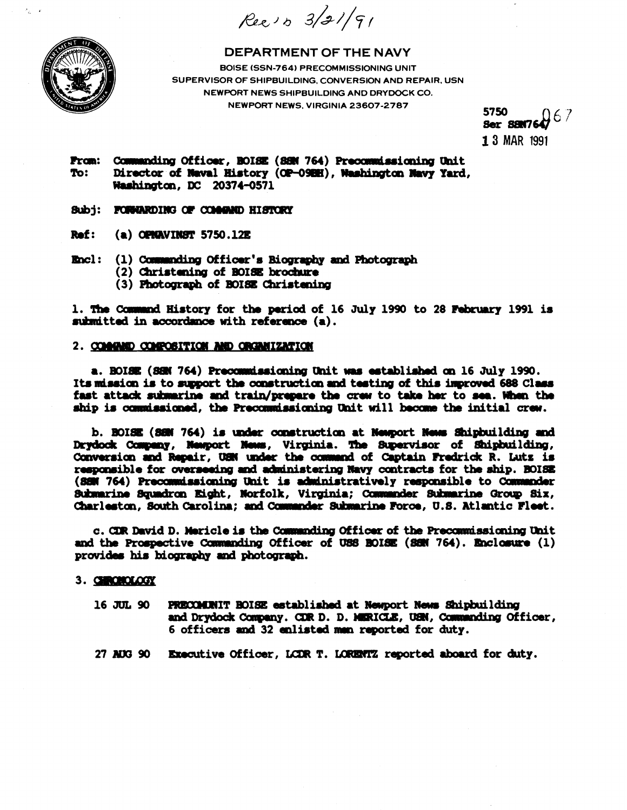Ree 10 3/21/91



**DEPARTMENT OF THE NAVY** BOISE (SSN-764) PRECOMMISSIONING UNIT SUPERVISOR OF SHIPBUILDING, CONVERSION AND REPAIR, USN NEWPORT NEWS SHIPBUILDING AND DRYDOCK CO. NEWPORT NEWS, VIRGINIA 23607-2787

Ser SSN764)  $67$ 1 3 MAR 1991

From: Commanding Officer, BOISE (SSN 764) Precommissioning Unit To: Director of Neval History (OP-09HH), Washington Navy Yard, Washington, DC 20374-0571

## Subj: FORWARDING OF COMMAND HISTORY

## **Ref:** (a) OPMAVINST 5750.12E

- Encl: (1) Commanding Officer's Biography and Photograph
	- (2) Christening of BOISE brochure
	- (3) Photograph of BOISE Christening

1. The Command History for the period of 16 July 1990 to 28 February 1991 is submitted in accordance with reference (a).

## 2. COMMAND COMPOSITION AND ORGANIZATION

a. BOISE (SSN 764) Precommissioning Unit was established on 16 July 1990. Its mission is to support the construction and testing of this improved 688 Class fast attack submarine and train/prepare the crew to take her to sea. When the ship is commissioned, the Precommissioning Unit will become the initial crew.

b. BOISE (SSN 764) is under construction at Newport News Shipbuilding and Drydock Company, Newport News, Virginia. The Supervisor of Shipbuilding, Conversion and Repair, USN under the command of Captain Fredrick R. Lutz is responsible for overseeing and administering Navy contracts for the ship. BOISE (SSN 764) Precommissioning Unit is administratively responsible to Commander Submarine Squadron Eight, Norfolk, Virginia; Commander Submarine Group Six, Charleston, South Carolina; and Commander Submarine Force, U.S. Atlantic Fleet.

c. CDR David D. Mericle is the Commanding Officer of the Precommissioning Unit and the Prospective Commanding Officer of USS BOISE (SSN 764). Enclosure (1) provides his biography and photograph.

## 3. GENOLOGY

PRECOMINIT BOISE established at Newport News Shipbuilding 16 JUL 90 and Drydock Company. CDR D. D. MERICLE, USN, Commanding Officer, 6 officers and 32 enlisted man reported for duty.

27 AUG 90 Executive Officer, LCDR T. LORENTZ reported aboard for duty.